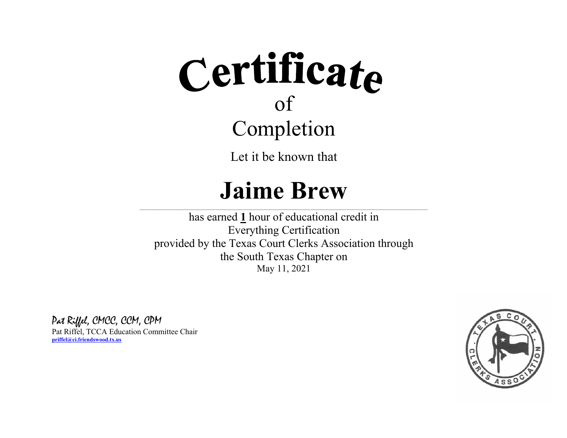Let it be known that

#### **Jaime Brew**

 $\_$  , and the state of the state of the state of the state of the state of the state of the state of the state of the state of the state of the state of the state of the state of the state of the state of the state of the

has earned **1** hour of educational credit in Everything Certification provided by the Texas Court Clerks Association through the South Texas Chapter on May 11, 2021

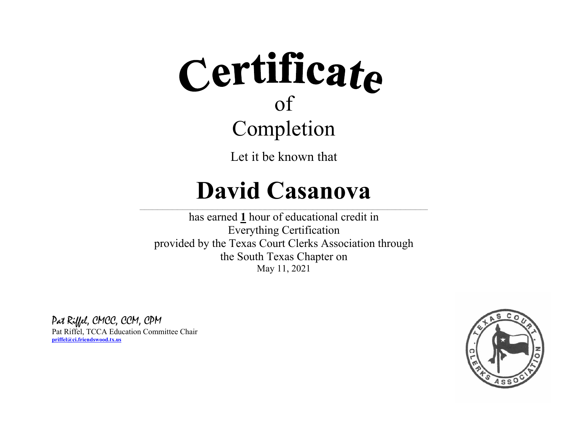Let it be known that

#### **David Casanova**

 $\_$  , and the state of the state of the state of the state of the state of the state of the state of the state of the state of the state of the state of the state of the state of the state of the state of the state of the

has earned **1** hour of educational credit in Everything Certification provided by the Texas Court Clerks Association through the South Texas Chapter on May 11, 2021

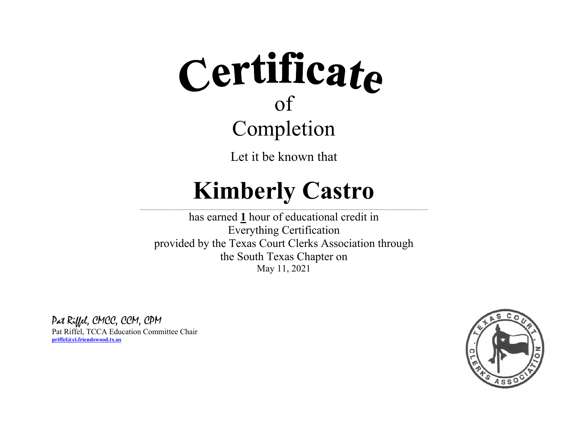Let it be known that

#### **Kimberly Castro**  $\_$  , and the state of the state of the state of the state of the state of the state of the state of the state of the state of the state of the state of the state of the state of the state of the state of the state of the

has earned **1** hour of educational credit in Everything Certification provided by the Texas Court Clerks Association through the South Texas Chapter on May 11, 2021

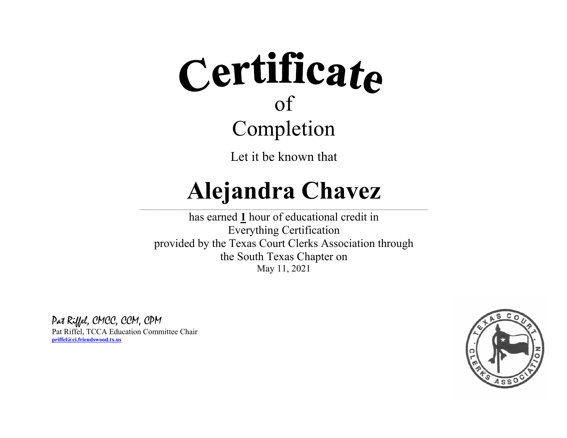Let it be known that

#### **Alejandra Chavez**

 $\_$  , and the state of the state of the state of the state of the state of the state of the state of the state of the state of the state of the state of the state of the state of the state of the state of the state of the

has earned **1** hour of educational credit in Everything Certification provided by the Texas Court Clerks Association through the South Texas Chapter on May 11, 2021

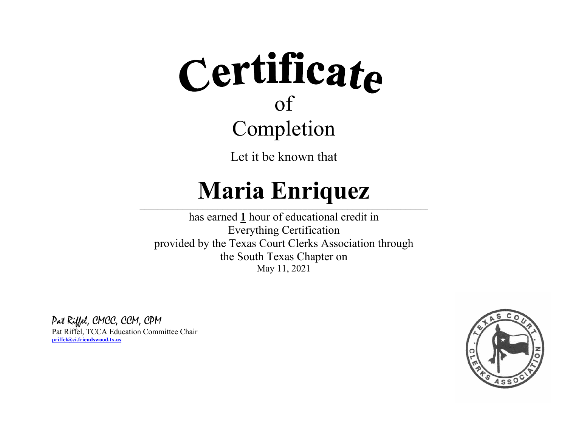Let it be known that

### **Maria Enriquez**

 $\_$  , and the state of the state of the state of the state of the state of the state of the state of the state of the state of the state of the state of the state of the state of the state of the state of the state of the

has earned **1** hour of educational credit in Everything Certification provided by the Texas Court Clerks Association through the South Texas Chapter on May 11, 2021

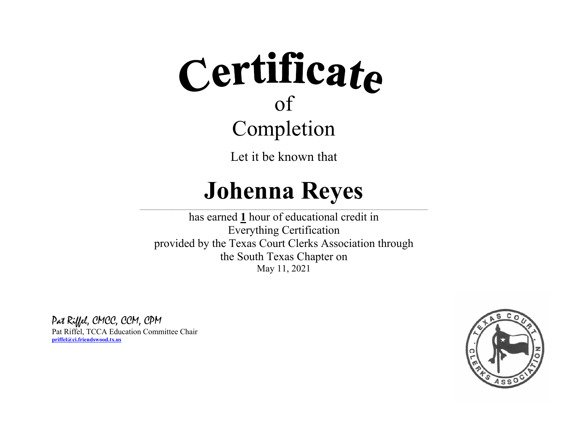Let it be known that

#### **Johenna Reyes**

 $\_$  , and the state of the state of the state of the state of the state of the state of the state of the state of the state of the state of the state of the state of the state of the state of the state of the state of the

has earned **1** hour of educational credit in Everything Certification provided by the Texas Court Clerks Association through the South Texas Chapter on May 11, 2021

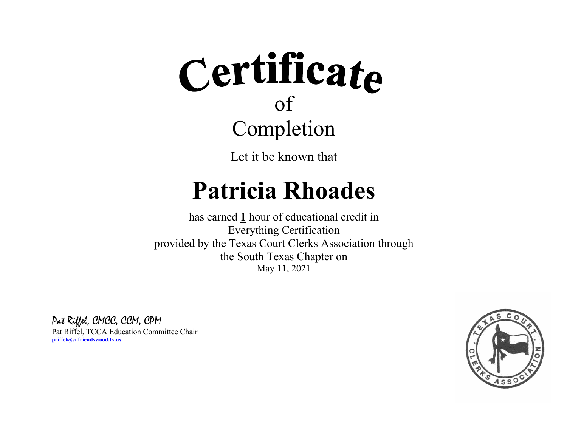Let it be known that

### **Patricia Rhoades**

 $\_$  , and the state of the state of the state of the state of the state of the state of the state of the state of the state of the state of the state of the state of the state of the state of the state of the state of the

has earned **1** hour of educational credit in Everything Certification provided by the Texas Court Clerks Association through the South Texas Chapter on May 11, 2021

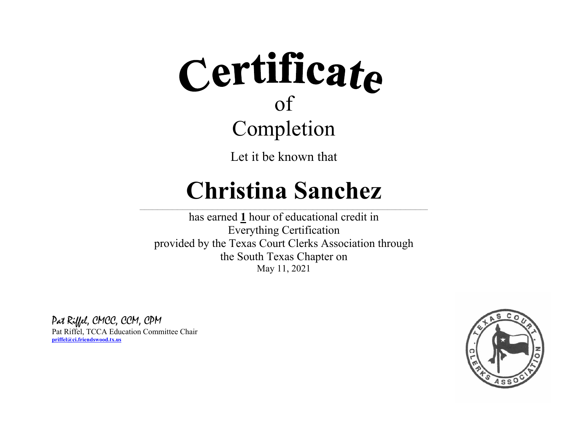Let it be known that

#### **Christina Sanchez**

 $\_$  , and the state of the state of the state of the state of the state of the state of the state of the state of the state of the state of the state of the state of the state of the state of the state of the state of the

has earned **1** hour of educational credit in Everything Certification provided by the Texas Court Clerks Association through the South Texas Chapter on May 11, 2021